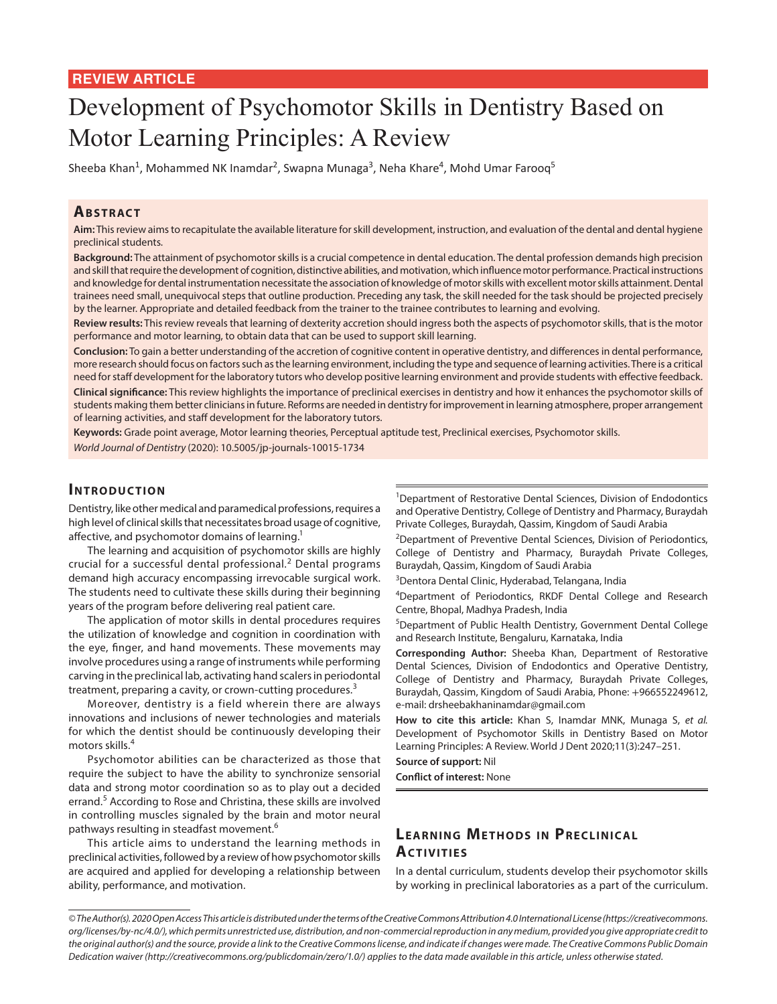## **REVIEW ARTICLE**

# Development of Psychomotor Skills in Dentistry Based on Motor Learning Principles: A Review

Sheeba Khan<sup>1</sup>, Mohammed NK Inamdar<sup>2</sup>, Swapna Munaga<sup>3</sup>, Neha Khare<sup>4</sup>, Mohd Umar Farooq<sup>5</sup>

#### **ABSTRACT**

**Aim:** This review aims to recapitulate the available literature for skill development, instruction, and evaluation of the dental and dental hygiene preclinical students.

**Background:** The attainment of psychomotor skills is a crucial competence in dental education. The dental profession demands high precision and skill that require the development of cognition, distinctive abilities, and motivation, which influence motor performance. Practical instructions and knowledge for dental instrumentation necessitate the association of knowledge of motor skills with excellent motor skills attainment. Dental trainees need small, unequivocal steps that outline production. Preceding any task, the skill needed for the task should be projected precisely by the learner. Appropriate and detailed feedback from the trainer to the trainee contributes to learning and evolving.

**Review results:** This review reveals that learning of dexterity accretion should ingress both the aspects of psychomotor skills, that is the motor performance and motor learning, to obtain data that can be used to support skill learning.

**Conclusion:** To gain a better understanding of the accretion of cognitive content in operative dentistry, and differences in dental performance, more research should focus on factors such as the learning environment, including the type and sequence of learning activities. There is a critical need for staff development for the laboratory tutors who develop positive learning environment and provide students with effective feedback. **Clinical significance:** This review highlights the importance of preclinical exercises in dentistry and how it enhances the psychomotor skills of students making them better clinicians in future. Reforms are needed in dentistry for improvement in learning atmosphere, proper arrangement of learning activities, and staff development for the laboratory tutors.

**Keywords:** Grade point average, Motor learning theories, Perceptual aptitude test, Preclinical exercises, Psychomotor skills. *World Journal of Dentistry* (2020): 10.5005/jp-journals-10015-1734

#### **INTRODUCTION**

Dentistry, like other medical and paramedical professions, requires a high level of clinical skills that necessitates broad usage of cognitive, affective, and psychomotor domains of learning.<sup>1</sup>

The learning and acquisition of psychomotor skills are highly crucial for a successful dental professional.<sup>2</sup> Dental programs demand high accuracy encompassing irrevocable surgical work. The students need to cultivate these skills during their beginning years of the program before delivering real patient care.

The application of motor skills in dental procedures requires the utilization of knowledge and cognition in coordination with the eye, finger, and hand movements. These movements may involve procedures using a range of instruments while performing carving in the preclinical lab, activating hand scalers in periodontal treatment, preparing a cavity, or crown-cutting procedures.<sup>3</sup>

Moreover, dentistry is a field wherein there are always innovations and inclusions of newer technologies and materials for which the dentist should be continuously developing their motors skills.<sup>4</sup>

Psychomotor abilities can be characterized as those that require the subject to have the ability to synchronize sensorial data and strong motor coordination so as to play out a decided errand.<sup>5</sup> According to Rose and Christina, these skills are involved in controlling muscles signaled by the brain and motor neural pathways resulting in steadfast movement.<sup>6</sup>

This article aims to understand the learning methods in preclinical activities, followed by a review of how psychomotor skills are acquired and applied for developing a relationship between ability, performance, and motivation.

<sup>1</sup>Department of Restorative Dental Sciences, Division of Endodontics and Operative Dentistry, College of Dentistry and Pharmacy, Buraydah Private Colleges, Buraydah, Qassim, Kingdom of Saudi Arabia

<sup>2</sup>Department of Preventive Dental Sciences, Division of Periodontics, College of Dentistry and Pharmacy, Buraydah Private Colleges, Buraydah, Qassim, Kingdom of Saudi Arabia

<sup>3</sup>Dentora Dental Clinic, Hyderabad, Telangana, India

<sup>4</sup>Department of Periodontics, RKDF Dental College and Research Centre, Bhopal, Madhya Pradesh, India

5 Department of Public Health Dentistry, Government Dental College and Research Institute, Bengaluru, Karnataka, India

**Corresponding Author:** Sheeba Khan, Department of Restorative Dental Sciences, Division of Endodontics and Operative Dentistry, College of Dentistry and Pharmacy, Buraydah Private Colleges, Buraydah, Qassim, Kingdom of Saudi Arabia, Phone: +966552249612, e-mail: drsheebakhaninamdar@gmail.com

**How to cite this article:** Khan S, Inamdar MNK, Munaga S, *et al.* Development of Psychomotor Skills in Dentistry Based on Motor Learning Principles: A Review. World J Dent 2020;11(3):247–251.

**Source of support:** Nil

**Conflict of interest:** None

# **LEARNING METHODS IN PRECLINICAL Ac tivitie s**

In a dental curriculum, students develop their psychomotor skills by working in preclinical laboratories as a part of the curriculum.

*<sup>©</sup> The Author(s). 2020 Open Access This article is distributed under the terms of the Creative Commons Attribution 4.0 International License (https://creativecommons. org/licenses/by-nc/4.0/), which permits unrestricted use, distribution, and non-commercial reproduction in any medium, provided you give appropriate credit to the original author(s) and the source, provide a link to the Creative Commons license, and indicate if changes were made. The Creative Commons Public Domain Dedication waiver (http://creativecommons.org/publicdomain/zero/1.0/) applies to the data made available in this article, unless otherwise stated.*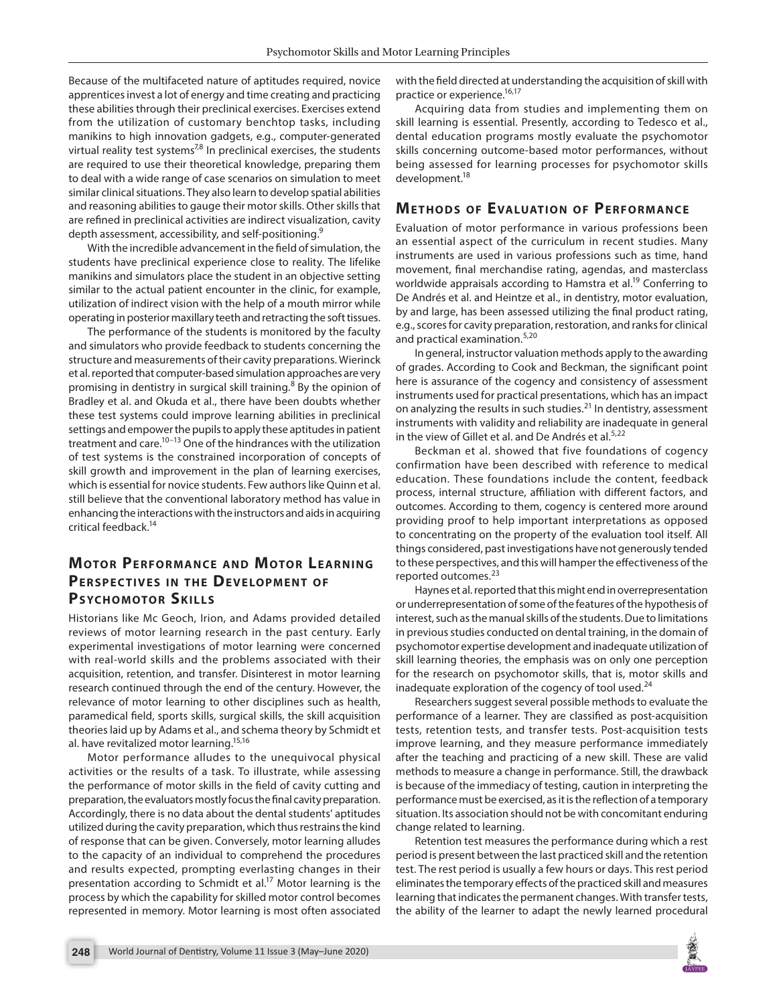Because of the multifaceted nature of aptitudes required, novice apprentices invest a lot of energy and time creating and practicing these abilities through their preclinical exercises. Exercises extend from the utilization of customary benchtop tasks, including manikins to high innovation gadgets, e.g., computer-generated virtual reality test systems<sup>7,8</sup> In preclinical exercises, the students are required to use their theoretical knowledge, preparing them to deal with a wide range of case scenarios on simulation to meet similar clinical situations. They also learn to develop spatial abilities and reasoning abilities to gauge their motor skills. Other skills that are refined in preclinical activities are indirect visualization, cavity depth assessment, accessibility, and self-positioning.<sup>9</sup>

With the incredible advancement in the field of simulation, the students have preclinical experience close to reality. The lifelike manikins and simulators place the student in an objective setting similar to the actual patient encounter in the clinic, for example, utilization of indirect vision with the help of a mouth mirror while operating in posterior maxillary teeth and retracting the soft tissues.

The performance of the students is monitored by the faculty and simulators who provide feedback to students concerning the structure and measurements of their cavity preparations. Wierinck et al. reported that computer-based simulation approaches are very promising in dentistry in surgical skill training.<sup>8</sup> By the opinion of Bradley et al. and Okuda et al., there have been doubts whether these test systems could improve learning abilities in preclinical settings and empower the pupils to apply these aptitudes in patient treatment and care.<sup>10–13</sup> One of the hindrances with the utilization of test systems is the constrained incorporation of concepts of skill growth and improvement in the plan of learning exercises, which is essential for novice students. Few authors like Quinn et al. still believe that the conventional laboratory method has value in enhancing the interactions with the instructors and aids in acquiring critical feedback.14

# **MOTOR PERFORMANCE AND MOTOR LEARNING PERSPECTIVES IN THE DEVELOPMENT OF PSYCHOMOTOR SKILLS**

Historians like Mc Geoch, Irion, and Adams provided detailed reviews of motor learning research in the past century. Early experimental investigations of motor learning were concerned with real-world skills and the problems associated with their acquisition, retention, and transfer. Disinterest in motor learning research continued through the end of the century. However, the relevance of motor learning to other disciplines such as health, paramedical field, sports skills, surgical skills, the skill acquisition theories laid up by Adams et al., and schema theory by Schmidt et al. have revitalized motor learning.<sup>15,16</sup>

Motor performance alludes to the unequivocal physical activities or the results of a task. To illustrate, while assessing the performance of motor skills in the field of cavity cutting and preparation, the evaluators mostly focus the final cavity preparation. Accordingly, there is no data about the dental students' aptitudes utilized during the cavity preparation, which thus restrains the kind of response that can be given. Conversely, motor learning alludes to the capacity of an individual to comprehend the procedures and results expected, prompting everlasting changes in their presentation according to Schmidt et al.<sup>17</sup> Motor learning is the process by which the capability for skilled motor control becomes represented in memory. Motor learning is most often associated

with the field directed at understanding the acquisition of skill with practice or experience.<sup>16,17</sup>

Acquiring data from studies and implementing them on skill learning is essential. Presently, according to Tedesco et al., dental education programs mostly evaluate the psychomotor skills concerning outcome-based motor performances, without being assessed for learning processes for psychomotor skills development.18

## **METHODS OF EVALUATION OF PERFORMANCE**

Evaluation of motor performance in various professions been an essential aspect of the curriculum in recent studies. Many instruments are used in various professions such as time, hand movement, final merchandise rating, agendas, and masterclass worldwide appraisals according to Hamstra et al.<sup>19</sup> Conferring to De Andrés et al. and Heintze et al., in dentistry, motor evaluation, by and large, has been assessed utilizing the final product rating, e.g., scores for cavity preparation, restoration, and ranks for clinical and practical examination.<sup>5,20</sup>

In general, instructor valuation methods apply to the awarding of grades. According to Cook and Beckman, the significant point here is assurance of the cogency and consistency of assessment instruments used for practical presentations, which has an impact on analyzing the results in such studies.<sup>21</sup> In dentistry, assessment instruments with validity and reliability are inadequate in general in the view of Gillet et al. and De Andrés et al.<sup>5,22</sup>

Beckman et al. showed that five foundations of cogency confirmation have been described with reference to medical education. These foundations include the content, feedback process, internal structure, affiliation with different factors, and outcomes. According to them, cogency is centered more around providing proof to help important interpretations as opposed to concentrating on the property of the evaluation tool itself. All things considered, past investigations have not generously tended to these perspectives, and this will hamper the effectiveness of the reported outcomes.<sup>23</sup>

Haynes et al. reported that this might end in overrepresentation or underrepresentation of some of the features of the hypothesis of interest, such as the manual skills of the students. Due to limitations in previous studies conducted on dental training, in the domain of psychomotor expertise development and inadequate utilization of skill learning theories, the emphasis was on only one perception for the research on psychomotor skills, that is, motor skills and inadequate exploration of the cogency of tool used.<sup>24</sup>

Researchers suggest several possible methods to evaluate the performance of a learner. They are classified as post-acquisition tests, retention tests, and transfer tests. Post-acquisition tests improve learning, and they measure performance immediately after the teaching and practicing of a new skill. These are valid methods to measure a change in performance. Still, the drawback is because of the immediacy of testing, caution in interpreting the performance must be exercised, as it is the reflection of a temporary situation. Its association should not be with concomitant enduring change related to learning.

Retention test measures the performance during which a rest period is present between the last practiced skill and the retention test. The rest period is usually a few hours or days. This rest period eliminates the temporary effects of the practiced skill and measures learning that indicates the permanent changes. With transfer tests, the ability of the learner to adapt the newly learned procedural

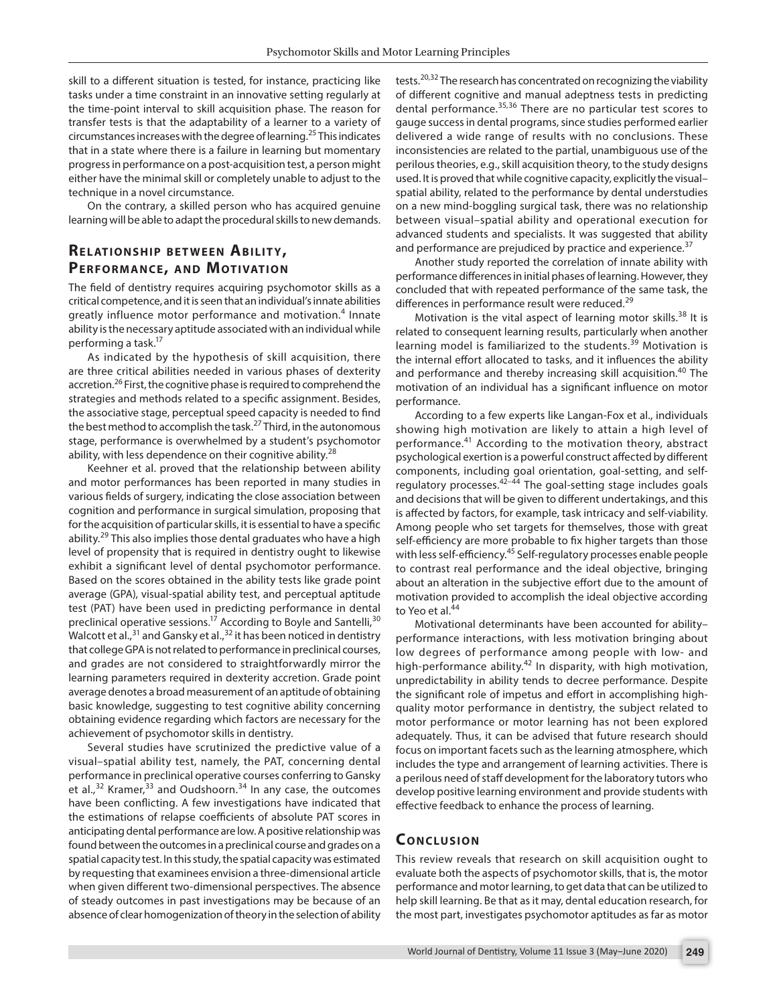skill to a different situation is tested, for instance, practicing like tasks under a time constraint in an innovative setting regularly at the time-point interval to skill acquisition phase. The reason for transfer tests is that the adaptability of a learner to a variety of circumstances increases with the degree of learning.25 This indicates that in a state where there is a failure in learning but momentary progress in performance on a post-acquisition test, a person might either have the minimal skill or completely unable to adjust to the technique in a novel circumstance.

On the contrary, a skilled person who has acquired genuine learning will be able to adapt the procedural skills to new demands.

# **RELATIONSHIP BETWEEN ABILITY, PERFORMANCE, AND MOTIVATION**

The field of dentistry requires acquiring psychomotor skills as a critical competence, and it is seen that an individual's innate abilities greatly influence motor performance and motivation.<sup>4</sup> Innate ability is the necessary aptitude associated with an individual while performing a task.<sup>17</sup>

As indicated by the hypothesis of skill acquisition, there are three critical abilities needed in various phases of dexterity accretion.<sup>26</sup> First, the cognitive phase is required to comprehend the strategies and methods related to a specific assignment. Besides, the associative stage, perceptual speed capacity is needed to find the best method to accomplish the task.27 Third, in the autonomous stage, performance is overwhelmed by a student's psychomotor ability, with less dependence on their cognitive ability.<sup>28</sup>

Keehner et al. proved that the relationship between ability and motor performances has been reported in many studies in various fields of surgery, indicating the close association between cognition and performance in surgical simulation, proposing that for the acquisition of particular skills, it is essential to have a specific ability.<sup>29</sup> This also implies those dental graduates who have a high level of propensity that is required in dentistry ought to likewise exhibit a significant level of dental psychomotor performance. Based on the scores obtained in the ability tests like grade point average (GPA), visual-spatial ability test, and perceptual aptitude test (PAT) have been used in predicting performance in dental preclinical operative sessions.<sup>17</sup> According to Boyle and Santelli,<sup>30</sup> Walcott et al.,<sup>31</sup> and Gansky et al.,<sup>32</sup> it has been noticed in dentistry that college GPA is not related to performance in preclinical courses, and grades are not considered to straightforwardly mirror the learning parameters required in dexterity accretion. Grade point average denotes a broad measurement of an aptitude of obtaining basic knowledge, suggesting to test cognitive ability concerning obtaining evidence regarding which factors are necessary for the achievement of psychomotor skills in dentistry.

Several studies have scrutinized the predictive value of a visual–spatial ability test, namely, the PAT, concerning dental performance in preclinical operative courses conferring to Gansky et al.,<sup>32</sup> Kramer,<sup>33</sup> and Oudshoorn.<sup>34</sup> In any case, the outcomes have been conflicting. A few investigations have indicated that the estimations of relapse coefficients of absolute PAT scores in anticipating dental performance are low. A positive relationship was found between the outcomes in a preclinical course and grades on a spatial capacity test. In this study, the spatial capacity was estimated by requesting that examinees envision a three-dimensional article when given different two-dimensional perspectives. The absence of steady outcomes in past investigations may be because of an absence of clear homogenization of theory in the selection of ability

tests.<sup>20,32</sup> The research has concentrated on recognizing the viability of different cognitive and manual adeptness tests in predicting dental performance.<sup>35,36</sup> There are no particular test scores to gauge success in dental programs, since studies performed earlier delivered a wide range of results with no conclusions. These inconsistencies are related to the partial, unambiguous use of the perilous theories, e.g., skill acquisition theory, to the study designs used. It is proved that while cognitive capacity, explicitly the visual– spatial ability, related to the performance by dental understudies on a new mind-boggling surgical task, there was no relationship between visual–spatial ability and operational execution for advanced students and specialists. It was suggested that ability and performance are prejudiced by practice and experience. $37$ 

Another study reported the correlation of innate ability with performance differences in initial phases of learning. However, they concluded that with repeated performance of the same task, the differences in performance result were reduced.<sup>29</sup>

Motivation is the vital aspect of learning motor skills.<sup>38</sup> It is related to consequent learning results, particularly when another learning model is familiarized to the students.<sup>39</sup> Motivation is the internal effort allocated to tasks, and it influences the ability and performance and thereby increasing skill acquisition.<sup>40</sup> The motivation of an individual has a significant influence on motor performance.

According to a few experts like Langan-Fox et al., individuals showing high motivation are likely to attain a high level of performance.<sup>41</sup> According to the motivation theory, abstract psychological exertion is a powerful construct affected by different components, including goal orientation, goal-setting, and selfregulatory processes. $42-44$  The goal-setting stage includes goals and decisions that will be given to different undertakings, and this is affected by factors, for example, task intricacy and self-viability. Among people who set targets for themselves, those with great self-efficiency are more probable to fix higher targets than those with less self-efficiency.<sup>45</sup> Self-regulatory processes enable people to contrast real performance and the ideal objective, bringing about an alteration in the subjective effort due to the amount of motivation provided to accomplish the ideal objective according to Yeo et al.<sup>44</sup>

Motivational determinants have been accounted for ability– performance interactions, with less motivation bringing about low degrees of performance among people with low- and high-performance ability.<sup>42</sup> In disparity, with high motivation, unpredictability in ability tends to decree performance. Despite the significant role of impetus and effort in accomplishing highquality motor performance in dentistry, the subject related to motor performance or motor learning has not been explored adequately. Thus, it can be advised that future research should focus on important facets such as the learning atmosphere, which includes the type and arrangement of learning activities. There is a perilous need of staff development for the laboratory tutors who develop positive learning environment and provide students with effective feedback to enhance the process of learning.

#### **CONCLUSION**

This review reveals that research on skill acquisition ought to evaluate both the aspects of psychomotor skills, that is, the motor performance and motor learning, to get data that can be utilized to help skill learning. Be that as it may, dental education research, for the most part, investigates psychomotor aptitudes as far as motor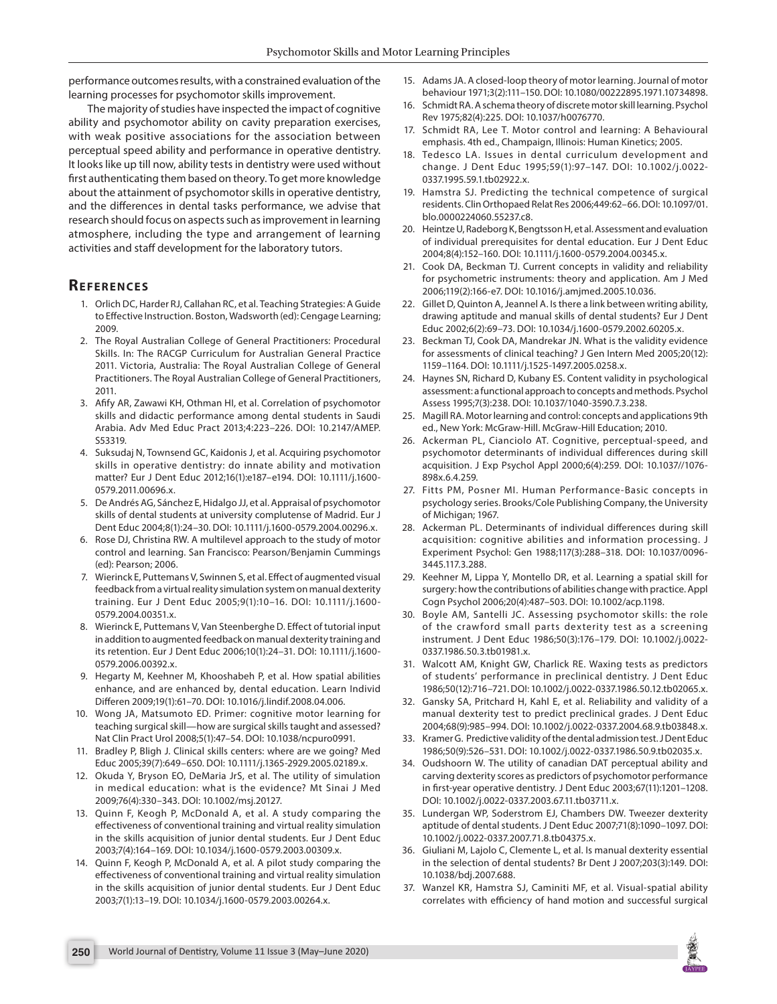performance outcomes results, with a constrained evaluation of the learning processes for psychomotor skills improvement.

The majority of studies have inspected the impact of cognitive ability and psychomotor ability on cavity preparation exercises, with weak positive associations for the association between perceptual speed ability and performance in operative dentistry. It looks like up till now, ability tests in dentistry were used without first authenticating them based on theory. To get more knowledge about the attainment of psychomotor skills in operative dentistry, and the differences in dental tasks performance, we advise that research should focus on aspects such as improvement in learning atmosphere, including the type and arrangement of learning activities and staff development for the laboratory tutors.

### **REFERENCES**

- 1. Orlich DC, Harder RJ, Callahan RC, et al. Teaching Strategies: A Guide to Effective Instruction. Boston, Wadsworth (ed): Cengage Learning; 2009.
- 2. The Royal Australian College of General Practitioners: Procedural Skills. In: The RACGP Curriculum for Australian General Practice 2011. Victoria, Australia: The Royal Australian College of General Practitioners. The Royal Australian College of General Practitioners, 2011.
- 3. Afify AR, Zawawi KH, Othman HI, et al. Correlation of psychomotor skills and didactic performance among dental students in Saudi Arabia. Adv Med Educ Pract 2013;4:223–226. DOI: 10.2147/AMEP. S53319.
- 4. Suksudaj N, Townsend GC, Kaidonis J, et al. Acquiring psychomotor skills in operative dentistry: do innate ability and motivation matter? Eur J Dent Educ 2012;16(1):e187–e194. DOI: 10.1111/j.1600- 0579.2011.00696.x.
- 5. De Andrés AG, Sánchez E, Hidalgo JJ, et al. Appraisal of psychomotor skills of dental students at university complutense of Madrid. Eur J Dent Educ 2004;8(1):24–30. DOI: 10.1111/j.1600-0579.2004.00296.x.
- 6. Rose DJ, Christina RW. A multilevel approach to the study of motor control and learning. San Francisco: Pearson/Benjamin Cummings (ed): Pearson; 2006.
- 7. Wierinck E, Puttemans V, Swinnen S, et al. Effect of augmented visual feedback from a virtual reality simulation system on manual dexterity training. Eur J Dent Educ 2005;9(1):10–16. DOI: 10.1111/j.1600- 0579.2004.00351.x.
- 8. Wierinck E, Puttemans V, Van Steenberghe D. Effect of tutorial input in addition to augmented feedback on manual dexterity training and its retention. Eur J Dent Educ 2006;10(1):24–31. DOI: 10.1111/j.1600- 0579.2006.00392.x.
- 9. Hegarty M, Keehner M, Khooshabeh P, et al. How spatial abilities enhance, and are enhanced by, dental education. Learn Individ Differen 2009;19(1):61–70. DOI: 10.1016/j.lindif.2008.04.006.
- 10. Wong JA, Matsumoto ED. Primer: cognitive motor learning for teaching surgical skill—how are surgical skills taught and assessed? Nat Clin Pract Urol 2008;5(1):47–54. DOI: 10.1038/ncpuro0991.
- 11. Bradley P, Bligh J. Clinical skills centers: where are we going? Med Educ 2005;39(7):649–650. DOI: 10.1111/j.1365-2929.2005.02189.x.
- 12. Okuda Y, Bryson EO, DeMaria JrS, et al. The utility of simulation in medical education: what is the evidence? Mt Sinai J Med 2009;76(4):330–343. DOI: 10.1002/msj.20127.
- 13. Quinn F, Keogh P, McDonald A, et al. A study comparing the effectiveness of conventional training and virtual reality simulation in the skills acquisition of junior dental students. Eur J Dent Educ 2003;7(4):164–169. DOI: 10.1034/j.1600-0579.2003.00309.x.
- 14. Quinn F, Keogh P, McDonald A, et al. A pilot study comparing the effectiveness of conventional training and virtual reality simulation in the skills acquisition of junior dental students. Eur J Dent Educ 2003;7(1):13–19. DOI: 10.1034/j.1600-0579.2003.00264.x.
- 15. Adams JA. A closed-loop theory of motor learning. Journal of motor behaviour 1971;3(2):111–150. DOI: 10.1080/00222895.1971.10734898.
- 16. Schmidt RA. A schema theory of discrete motor skill learning. Psychol Rev 1975;82(4):225. DOI: 10.1037/h0076770.
- 17. Schmidt RA, Lee T. Motor control and learning: A Behavioural emphasis. 4th ed., Champaign, Illinois: Human Kinetics; 2005.
- 18. Tedesco LA. Issues in dental curriculum development and change. J Dent Educ 1995;59(1):97–147. DOI: 10.1002/j.0022- 0337.1995.59.1.tb02922.x.
- 19. Hamstra SJ. Predicting the technical competence of surgical residents. Clin Orthopaed Relat Res 2006;449:62–66. DOI: 10.1097/01. blo.0000224060.55237.c8.
- 20. Heintze U, Radeborg K, Bengtsson H, et al. Assessment and evaluation of individual prerequisites for dental education. Eur J Dent Educ 2004;8(4):152–160. DOI: 10.1111/j.1600-0579.2004.00345.x.
- 21. Cook DA, Beckman TJ. Current concepts in validity and reliability for psychometric instruments: theory and application. Am J Med 2006;119(2):166-e7. DOI: 10.1016/j.amjmed.2005.10.036.
- 22. Gillet D, Quinton A, Jeannel A. Is there a link between writing ability, drawing aptitude and manual skills of dental students? Eur J Dent Educ 2002;6(2):69–73. DOI: 10.1034/j.1600-0579.2002.60205.x.
- 23. Beckman TJ, Cook DA, Mandrekar JN. What is the validity evidence for assessments of clinical teaching? J Gen Intern Med 2005;20(12): 1159–1164. DOI: 10.1111/j.1525-1497.2005.0258.x.
- 24. Haynes SN, Richard D, Kubany ES. Content validity in psychological assessment: a functional approach to concepts and methods. Psychol Assess 1995;7(3):238. DOI: 10.1037/1040-3590.7.3.238.
- 25. Magill RA. Motor learning and control: concepts and applications 9th ed., New York: McGraw-Hill. McGraw-Hill Education; 2010.
- 26. Ackerman PL, Cianciolo AT. Cognitive, perceptual-speed, and psychomotor determinants of individual differences during skill acquisition. J Exp Psychol Appl 2000;6(4):259. DOI: 10.1037//1076- 898x.6.4.259.
- 27. Fitts PM, Posner MI. Human Performance-Basic concepts in psychology series. Brooks/Cole Publishing Company, the University of Michigan; 1967.
- 28. Ackerman PL. Determinants of individual differences during skill acquisition: cognitive abilities and information processing. J Experiment Psychol: Gen 1988;117(3):288–318. DOI: 10.1037/0096- 3445.117.3.288.
- 29. Keehner M, Lippa Y, Montello DR, et al. Learning a spatial skill for surgery: how the contributions of abilities change with practice. Appl Cogn Psychol 2006;20(4):487–503. DOI: 10.1002/acp.1198.
- 30. Boyle AM, Santelli JC. Assessing psychomotor skills: the role of the crawford small parts dexterity test as a screening instrument. J Dent Educ 1986;50(3):176–179. DOI: 10.1002/j.0022- 0337.1986.50.3.tb01981.x.
- 31. Walcott AM, Knight GW, Charlick RE. Waxing tests as predictors of students' performance in preclinical dentistry. J Dent Educ 1986;50(12):716–721. DOI: 10.1002/j.0022-0337.1986.50.12.tb02065.x.
- 32. Gansky SA, Pritchard H, Kahl E, et al. Reliability and validity of a manual dexterity test to predict preclinical grades. J Dent Educ 2004;68(9):985–994. DOI: 10.1002/j.0022-0337.2004.68.9.tb03848.x.
- 33. Kramer G. Predictive validity of the dental admission test. J Dent Educ 1986;50(9):526–531. DOI: 10.1002/j.0022-0337.1986.50.9.tb02035.x.
- 34. Oudshoorn W. The utility of canadian DAT perceptual ability and carving dexterity scores as predictors of psychomotor performance in first-year operative dentistry. J Dent Educ 2003;67(11):1201–1208. DOI: 10.1002/j.0022-0337.2003.67.11.tb03711.x.
- 35. Lundergan WP, Soderstrom EJ, Chambers DW. Tweezer dexterity aptitude of dental students. J Dent Educ 2007;71(8):1090–1097. DOI: 10.1002/j.0022-0337.2007.71.8.tb04375.x.
- 36. Giuliani M, Lajolo C, Clemente L, et al. Is manual dexterity essential in the selection of dental students? Br Dent J 2007;203(3):149. DOI: 10.1038/bdj.2007.688.
- 37. Wanzel KR, Hamstra SJ, Caminiti MF, et al. Visual-spatial ability correlates with efficiency of hand motion and successful surgical